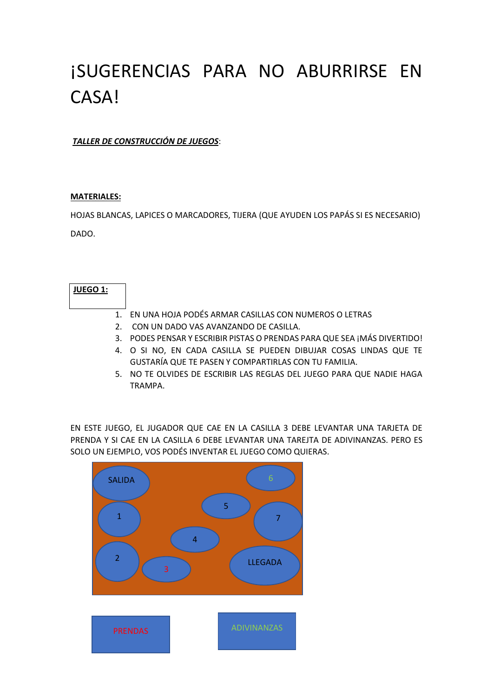# ¡SUGERENCIAS PARA NO ABURRIRSE EN CASA!

*TALLER DE CONSTRUCCIÓN DE JUEGOS*:

#### **MATERIALES:**

HOJAS BLANCAS, LAPICES O MARCADORES, TIJERA (QUE AYUDEN LOS PAPÁS SI ES NECESARIO)

DADO.

## **JUEGO 1:**

- 1. EN UNA HOJA PODÉS ARMAR CASILLAS CON NUMEROS O LETRAS
- 2. CON UN DADO VAS AVANZANDO DE CASILLA.
- 3. PODES PENSAR Y ESCRIBIR PISTAS O PRENDAS PARA QUE SEA ¡MÁS DIVERTIDO!
- 4. O SI NO, EN CADA CASILLA SE PUEDEN DIBUJAR COSAS LINDAS QUE TE GUSTARÍA QUE TE PASEN Y COMPARTIRLAS CON TU FAMILIA.
- 5. NO TE OLVIDES DE ESCRIBIR LAS REGLAS DEL JUEGO PARA QUE NADIE HAGA TRAMPA.

EN ESTE JUEGO, EL JUGADOR QUE CAE EN LA CASILLA 3 DEBE LEVANTAR UNA TARJETA DE PRENDA Y SI CAE EN LA CASILLA 6 DEBE LEVANTAR UNA TAREJTA DE ADIVINANZAS. PERO ES SOLO UN EJEMPLO, VOS PODÉS INVENTAR EL JUEGO COMO QUIERAS.

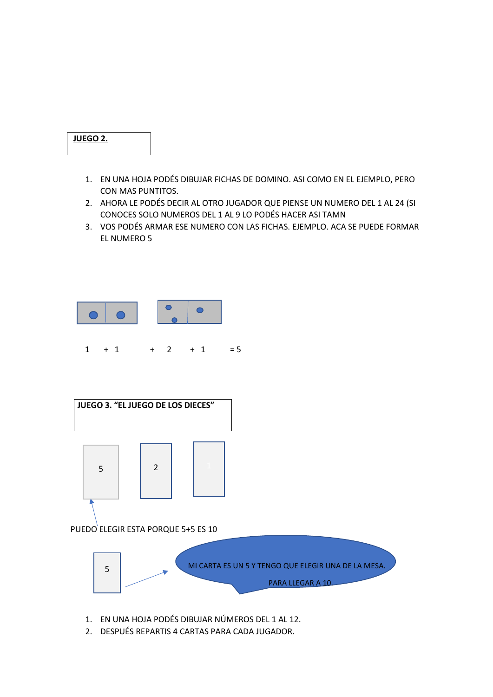### **JUEGO 2.**

- 1. EN UNA HOJA PODÉS DIBUJAR FICHAS DE DOMINO. ASI COMO EN EL EJEMPLO, PERO CON MAS PUNTITOS.
- 2. AHORA LE PODÉS DECIR AL OTRO JUGADOR QUE PIENSE UN NUMERO DEL 1 AL 24 (SI CONOCES SOLO NUMEROS DEL 1 AL 9 LO PODÉS HACER ASI TAMN
- 3. VOS PODÉS ARMAR ESE NUMERO CON LAS FICHAS. EJEMPLO. ACA SE PUEDE FORMAR EL NUMERO 5





- 1. EN UNA HOJA PODÉS DIBUJAR NÚMEROS DEL 1 AL 12.
- 2. DESPUÉS REPARTIS 4 CARTAS PARA CADA JUGADOR.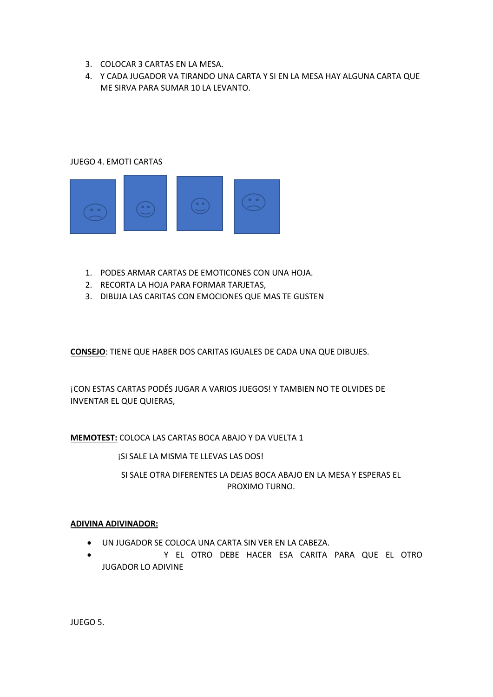- 3. COLOCAR 3 CARTAS EN LA MESA.
- 4. Y CADA JUGADOR VA TIRANDO UNA CARTA Y SI EN LA MESA HAY ALGUNA CARTA QUE ME SIRVA PARA SUMAR 10 LA LEVANTO.

#### JUEGO 4. EMOTI CARTAS



- 1. PODES ARMAR CARTAS DE EMOTICONES CON UNA HOJA.
- 2. RECORTA LA HOJA PARA FORMAR TARJETAS,
- 3. DIBUJA LAS CARITAS CON EMOCIONES QUE MAS TE GUSTEN

**CONSEJO**: TIENE QUE HABER DOS CARITAS IGUALES DE CADA UNA QUE DIBUJES.

¡CON ESTAS CARTAS PODÉS JUGAR A VARIOS JUEGOS! Y TAMBIEN NO TE OLVIDES DE INVENTAR EL QUE QUIERAS,

**MEMOTEST:** COLOCA LAS CARTAS BOCA ABAJO Y DA VUELTA 1

¡SI SALE LA MISMA TE LLEVAS LAS DOS!

SI SALE OTRA DIFERENTES LA DEJAS BOCA ABAJO EN LA MESA Y ESPERAS EL PROXIMO TURNO.

#### **ADIVINA ADIVINADOR:**

- UN JUGADOR SE COLOCA UNA CARTA SIN VER EN LA CABEZA.
- Y EL OTRO DEBE HACER ESA CARITA PARA QUE EL OTRO JUGADOR LO ADIVINE

JUEGO 5.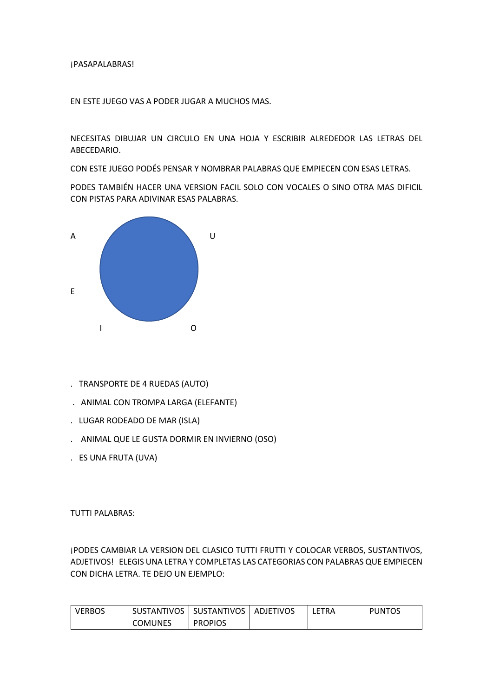#### ¡PASAPALABRAS!

EN ESTE JUEGO VAS A PODER JUGAR A MUCHOS MAS.

NECESITAS DIBUJAR UN CIRCULO EN UNA HOJA Y ESCRIBIR ALREDEDOR LAS LETRAS DEL ABECEDARIO.

CON ESTE JUEGO PODÉS PENSAR Y NOMBRAR PALABRAS QUE EMPIECEN CON ESAS LETRAS.

PODES TAMBIÉN HACER UNA VERSION FACIL SOLO CON VOCALES O SINO OTRA MAS DIFICIL CON PISTAS PARA ADIVINAR ESAS PALABRAS.



- . TRANSPORTE DE 4 RUEDAS (AUTO)
- . ANIMAL CON TROMPA LARGA (ELEFANTE)
- . LUGAR RODEADO DE MAR (ISLA)
- . ANIMAL QUE LE GUSTA DORMIR EN INVIERNO (OSO)
- . ES UNA FRUTA (UVA)

TUTTI PALABRAS:

¡PODES CAMBIAR LA VERSION DEL CLASICO TUTTI FRUTTI Y COLOCAR VERBOS, SUSTANTIVOS, ADJETIVOS! ELEGIS UNA LETRA Y COMPLETAS LAS CATEGORIAS CON PALABRAS QUE EMPIECEN CON DICHA LETRA. TE DEJO UN EJEMPLO:

| <b>VERBOS</b> |         | SUSTANTIVOS   SUSTANTIVOS | ADJETIVOS | LETRA | <b>PUNTOS</b> |
|---------------|---------|---------------------------|-----------|-------|---------------|
|               | COMUNES | <b>PROPIOS</b>            |           |       |               |